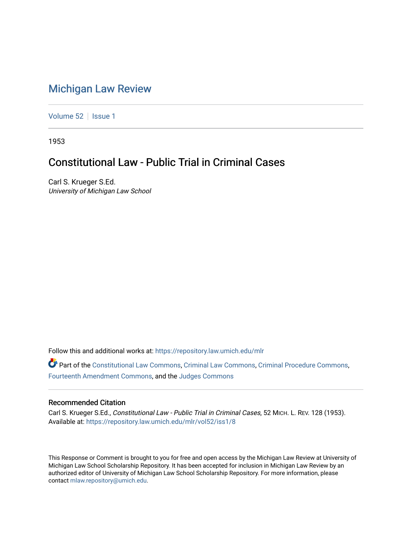# [Michigan Law Review](https://repository.law.umich.edu/mlr)

[Volume 52](https://repository.law.umich.edu/mlr/vol52) | [Issue 1](https://repository.law.umich.edu/mlr/vol52/iss1)

1953

# Constitutional Law - Public Trial in Criminal Cases

Carl S. Krueger S.Ed. University of Michigan Law School

Follow this and additional works at: [https://repository.law.umich.edu/mlr](https://repository.law.umich.edu/mlr?utm_source=repository.law.umich.edu%2Fmlr%2Fvol52%2Fiss1%2F8&utm_medium=PDF&utm_campaign=PDFCoverPages) 

Part of the [Constitutional Law Commons,](http://network.bepress.com/hgg/discipline/589?utm_source=repository.law.umich.edu%2Fmlr%2Fvol52%2Fiss1%2F8&utm_medium=PDF&utm_campaign=PDFCoverPages) [Criminal Law Commons,](http://network.bepress.com/hgg/discipline/912?utm_source=repository.law.umich.edu%2Fmlr%2Fvol52%2Fiss1%2F8&utm_medium=PDF&utm_campaign=PDFCoverPages) [Criminal Procedure Commons](http://network.bepress.com/hgg/discipline/1073?utm_source=repository.law.umich.edu%2Fmlr%2Fvol52%2Fiss1%2F8&utm_medium=PDF&utm_campaign=PDFCoverPages), [Fourteenth Amendment Commons](http://network.bepress.com/hgg/discipline/1116?utm_source=repository.law.umich.edu%2Fmlr%2Fvol52%2Fiss1%2F8&utm_medium=PDF&utm_campaign=PDFCoverPages), and the [Judges Commons](http://network.bepress.com/hgg/discipline/849?utm_source=repository.law.umich.edu%2Fmlr%2Fvol52%2Fiss1%2F8&utm_medium=PDF&utm_campaign=PDFCoverPages)

### Recommended Citation

Carl S. Krueger S.Ed., Constitutional Law - Public Trial in Criminal Cases, 52 MICH. L. REV. 128 (1953). Available at: [https://repository.law.umich.edu/mlr/vol52/iss1/8](https://repository.law.umich.edu/mlr/vol52/iss1/8?utm_source=repository.law.umich.edu%2Fmlr%2Fvol52%2Fiss1%2F8&utm_medium=PDF&utm_campaign=PDFCoverPages)

This Response or Comment is brought to you for free and open access by the Michigan Law Review at University of Michigan Law School Scholarship Repository. It has been accepted for inclusion in Michigan Law Review by an authorized editor of University of Michigan Law School Scholarship Repository. For more information, please contact [mlaw.repository@umich.edu](mailto:mlaw.repository@umich.edu).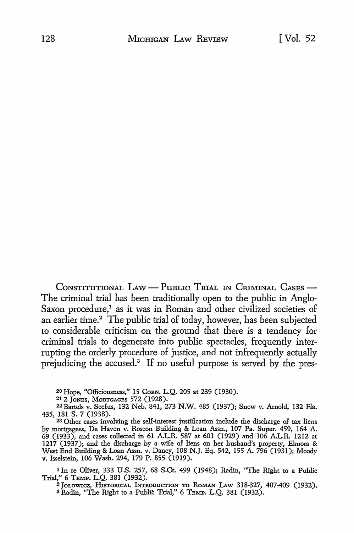CONSTITUTIONAL LAW — PUBLIC TRIAL IN CRIMINAL CASES — The criminal trial has been traditionally open to the public in Anglo-Saxon procedure,<sup>1</sup> as it was in Roman and other civilized societies of an earlier time.<sup>2</sup> The public trial of today, however, has been subjected to considerable criticism on the ground that there is a tendency for criminal trials to degenerate into public spectacles, frequently interrupting the orderly procedure of justice, and not infrequently actually prejudicing the accused.<sup>3</sup> If no useful purpose is served by the pres-

20 Hope, "Officiousness," 15 CoRN. L.Q. 205 at 239 (1930).

21 2 JoNES, MORTGAGES 572 (1928).

22Bartels v. Seefus, 132 Neb. 841, 273 N.W. 485 (1937); Snow v. Arnold, 132 Fla. 435, 181 s. 7 (1938).

23 Other cases involving the self-interest justification include the discharge of tax liens by mortgagees, De Haven v. Roscon Building & Loan Assn., 107 Pa. Super. 459, 164 A. 69 (1933), and cases collected in 61 A.L.R. 587 at 601 (1929) and 106 A.L.R. 1212 at 1217 (1937); and the discharge by a wife of liens on her husband's property, Elmora & West End Building & Loan Assn. v. Dancy, 108 N.J. Eq. 542, 155 A. 796 (1931); Moody v. Isselstein, 106 Wash. 294, 179 P. 855 (1919).

<sup>1</sup> In re Oliver, 333 U.S. 257, 68 S.Ct. 499 (1948); Radin, "The Right to a Public Trial," 6 TEMP. L.Q. 381 (1932).

<sup>2</sup> JOLOWICZ, HISTORICAL INTRODUCTION TO ROMAN LAW 318-327, 407-409 (1932). 3 Radin, "The Right to a Public Trial," 6 TEMP. L.Q. 381 (1932).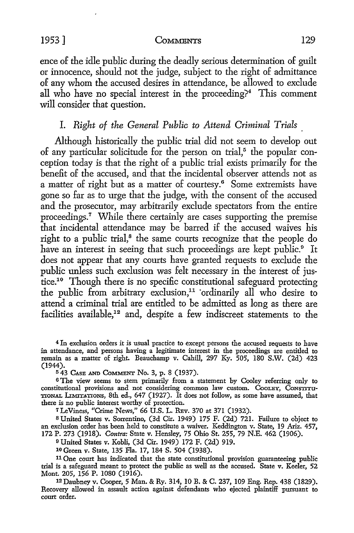ence of the idle public during the deadly serious determination of guilt or innocence, should not the judge, subject to the right of admittance of any whom the accused desires in attendance, be allowed to exclude all who have no special interest in the proceeding?<sup>4</sup> This comment will consider that question.

## I. *Right of the General Public to Attend Criminal Trials*

Although historically the public trial did not seem to develop out of any particular solicitude for the person on trial, $5$  the popular conception today is that the right of a public trial exists primarily for the benefit of the accused, and that the incidental observer attends not as a matter of right but as a matter of courtesy.<sup>6</sup> Some extremists have gone so far as to urge that the judge, with the consent of the accused and the prosecutor, may arbitrarily exclude spectators from the entire proceedings.<sup>7</sup> While there certainly are cases supporting the premise that incidental attendance may be barred if the accused waives his right to a public trial,<sup>8</sup> the same courts recognize that the people do have an interest in seeing that such proceedings are kept public.<sup>9</sup> It does not appear that any courts have granted requests to exclude the public unless such exclusion was felt necessary in the interest of justice.<sup>10</sup> Though there is no specific constitutional safeguard protecting the public from arbitrary exclusion,<sup>11</sup> ordinarily all who desire to attend a criminal trial are entitled to be admitted as long as there are facilities available,<sup>12</sup> and, despite a few indiscreet statements to the

<sup>4</sup>In exclusion orders it is usual practice *to* except persons the accused requests *to* have in attendance, and persons having a legitimate interest in the proceedings are entitled to remain as a matter of right. Beauchamp v. Cahill, 297 Ky. 505, 180 S.W. (2d) 423 (1944).

<sup>5</sup>43 CAsB AND CoMMBNT No. 3, p. 8 (1937).

<sup>6</sup>The view seems *to* stem primarily from a statement by Cooley referring only to constitutional provisions and not considering common law custom. Coolex, Constitutional TIONAL LIMITATIONS, 8th ed., 647 (1927). It does not follow, as some have assumed, that there is no public interest worthy of protection.

<sup>7</sup>LeViness, "Crime News," 66 U.S. L. REv. 370 at 371 (1932).

s United States v. Sorrentino, (3d Cir. 1949) 175 F. (2d) 721. Failure to object to an exclusion order has been held to constitute a waiver. Keddington v. State, 19 Ariz. 457, 172 P. 273 (1918). *Contra:* State v. Hensley, 75 Ohio St. 255, 79 N.E. 462 (1906).

<sup>9</sup>United States v. Kohli, (3d Cir. 1949) 172 F. (2d) 919.

10 Green v. State, 135 Fla. 17, 184 S. 504 (1938).

11 One court has indicated that the state constitutional provision guaranteeing public trial is a safeguard meant to protect the public as well as the accused. State v. Keeler, 52 Mont. 205, 156 P. 1080 (1916).

12 Daubney v. Cooper, 5 Man. & Ry. 314, 10 B. & C. 237, 109 Eng. Rep. 438 (1829). Recovery allowed in assanlt action against defendants who ejected plaintiff pursuant to court order.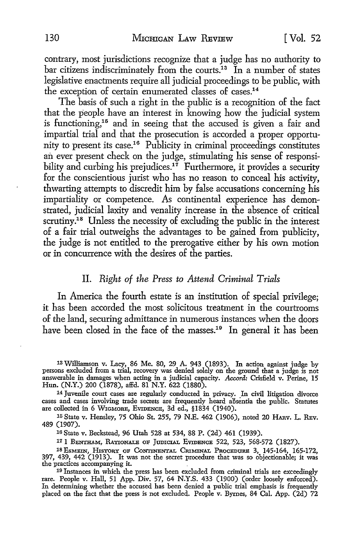contrary, most jurisdictions recognize that a judge has no authority to bar citizens indiscriminately from the courts.<sup>13</sup> In a number of states legislative enactments require all judicial proceedings to be public, with the exception of certain enumerated classes of cases.14

The basis of such a right in the public is a recognition of the fact that the people have an interest in knowing how the judicial system is functioning,<sup>15</sup> and in seeing that the accused is given a fair and impartial trial and that the prosecution is accorded a proper opportunity to present its case.16 Publicity in criminal proceedings constitutes an ever present check on the judge, stimulating his sense of responsibility and curbing his prejudices.<sup>17</sup> Furthermore, it provides a security for the conscientious jurist who has no reason to conceal his activity, thwarting attempts to discredit him by false accusations concerning his impartiality or competence. As continental experience has demonstrated, judicial laxity and venality increase in the absence of critical scrutiny.<sup>18</sup> Unless the necessity of excluding the public in the interest of a fair trial outweighs the advantages to be gained from publicity, the judge is not entitled *to* the prerogative either by his own motion or in concurrence with the desires of the parties.

### II. *Right of the Press to Attend Criminal Trials*

In America the fourth estate is an institution of special privilege; it has been accorded the most solicitous treatment in the courtrooms of the land, securing admittance in numerous instances when the doors have been closed in the face of the masses.<sup>19</sup> In general it has been

13 Williamson v. Lacy, 86 Me. 80, 29 A. 943 (1893). In action against judge by persons excluded from a trial, recovery was denied solely on the ground that a judge is not answerable in damages when acting in a judicial capacity. *Accord:* Crisfield v. Perine, 15 Hun. (N.Y.) 200 (1878), affd. 81 N.Y. 622 (1880).

<sup>14</sup>Juvenile court cases are regularly conducted in privacy. In civil litigation divorce cases and cases involving trade secrets are frequently heard aBsentia the public. Statutes are collected in 6 W1GMORE, EVIDENCE, 3d ed., §1834 (1940).

15 State v. Hensley, 75 Ohio St. 255, 79 N.E. 462 (1906), noted 20 HARV. L. REV. 489 (1907).

16 State v. Beckstead, 96 Utah 528 at 534, 88 P. (2d) 461 (1939).

17 1 BENTHAM, RATIONALE OF JumcrAL EVIDENCE 522, 523, 568-572 (1827).

<sup>18</sup> ESMEIN, HISTORY OF CONTINENTAL CRIMINAL PROCEDURE 3, 145-164, 165-172, 397, 439, 442 (1913). It was not the secret procedure that was so objectionable; it was the practices accompanying it.

19 Instances in which the press has been excluded from criminal trials are exceedingly rare. People v. Hall, 51 App. Div. 57, 64 N.Y.S. 433 (1900) (order loosely enforced). In determining whether the accused has been denied a public trial emphasis is frequently placed on the fact that the press is not excluded. People v. Byrnes, 84 Cal. App. (2d) 72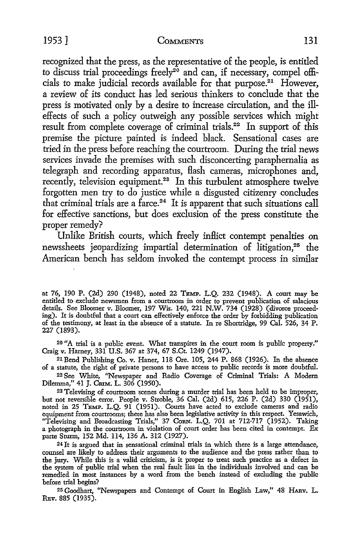recognized that the press, as the representative of the people, is entitled to discuss trial proceedings freely<sup>20</sup> and can, if necessary, compel officials to make judicial records available for that purpose.21 However, a review of its conduct has led serious thinkers *to* conclude that the press is motivated only by a desire *to* increase circulation, and the illeffects of such a policy outweigh any possible services which might result from complete coverage of criminal trials.22 In support of this premise the picture painted is indeed black. Sensational cases are tried in the press before reaching the courtroom. During the trial news services invade the premises with such disconcerting paraphernalia as telegraph and recording apparatus, Hash cameras, microphones and, recently, television equipment.<sup>23</sup> In this turbulent atmosphere twelve forgotten men try to do justice while a disgusted citizenry concludes that criminal trials are a farce.<sup>24</sup> It is apparent that such situations call for effective sanctions, but does exclusion of the press constitute the proper remedy?

Unlike British courts, which freely inflict contempt penalties on newssheets jeopardizing impartial determination of litigation,<sup>25</sup> the American bench has seldom invoked the contempt process in similar

at 76, 190 P. (2d) 290 (1948), noted 22 TBMP. L.Q. 232 (1948). A court may be entitled to exclude newsmen from a courtroom in order to prevent publication of salacious details. See Bloomer v. Bloomer, 197 Wis. 140, 221 N.W. 734 (1928) (divorce proceeding). It is doubtful that a court can effectively enforce the order by forbidding publication of the testimony, at least in the absence of a statute. In re Shortridge, 99 Cal. 526, 34 P. 227 (1893).

20 "A trial is a public event. What transpires in the court room is public property." Craig v. Harney, 331 U.S. 367 at 374, 67 S.Ct. 1249 (1947).

21 Bend Publishing Co. v. Haner, 118 Ore. 105, 244 P. 868 (1926). In the absence of a statute, the right of private persons to have access to public records is more doubtful.

22 See White, ''Newspaper and Radio Coverage of Criminal Trials: A Modern Dilemma," 41 J. CruM. L. 306 (1950).

23 Televising of courtroom scenes during a murder trial has been held to be improper, but not reversible error. People v. Stroble, 36 Cal. (2d) 615, 226 P. (2d) 330 (1951), noted in 25 TEMP. L.Q. 91 (1951). Courts have acted to exclude cameras and radio equipment from courtrooms; there has also been legislative activity in this respect. Yesawich, "Televising and Broadcasting Trials," 37 CoRN. L.Q. 701 at 712-717 (1952). Taking a photograph in the courtroom in violation of court order has been cited in contempt. Ex parte Sturm, 152 Md. 114, 136 A. 312 (1927).

24 It is argued that in sensational criminal trials in which there is a large attendance, counsel are likely to address their arguments to the audience and the press rather than to the jury. While this is a valid criticism, is it proper to treat such practice as a defect in the system of public trial when the real fault lies in the individuals involved and can be remedied in most instances by a word from the bench instead of excluding the public before trial begins?

25 Goodhart, "Newspapers and Contempt of Court in English Law," 48 HARv. L. REV. 885 (1935).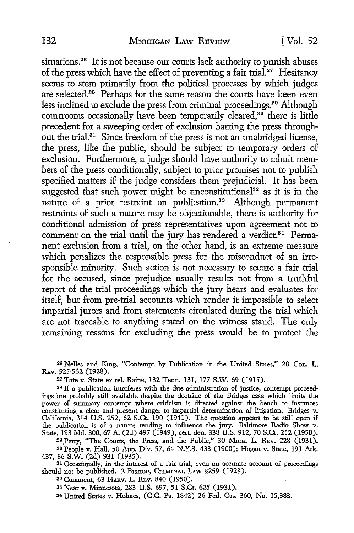situations.26 It is not because our courts lack authority to punish abuses of the press which have the effect of preventing a fair trial.<sup>27</sup> Hesitancy seems to stem primarily from the political processes by which judges are selected.<sup>28</sup> Perhaps for the same reason the courts have been even less inclined to exclude the press from criminal proceedings.29 Although courtrooms occasionally have been temporarily cleared, $30$  there is little precedent for a sweeping order of exclusion barring the press throughout the trial.<sup>31</sup> Since freedom of the press is not an unabridged license, the press, like the public, should be subject to temporary orders of exclusion. Furthermore, a judge should have authority to admit members of the press conditionally, subject to prior promises not to publish specified matters if the judge considers them prejudicial. It has been suggested that such power might be unconstitutional<sup>32</sup> as it is in the nature of a prior restraint on publication.<sup>33</sup> Although permanent restraints of such a nature may be objectionable, there is authority for conditional admission of press representatives upon agreement not to comment on the trial until the jury has rendered a verdict.<sup>34</sup> Permanent exclusion from a trial, on the other hand, is an extreme measure which penalizes the responsible press for the misconduct of an irresponsible minority. Such action is not necessary to secure a fair trial for the accused, since prejudice usually results not from a truthful report of the trial proceedings which the jury hears and evaluates for itself, but from pre-trial accounts which render it impossible to select impartial jurors and from statements circulated during the trial which are not traceable to anything stated on the witness stand. The only remaining reasons for excluding the press would be to protect the

26 Nelles and King, "Contempt by Publication in the United States," 28 CoL. L. REv. 525-562 (1928).

27Tate v. State ex rel. Raine, 132 Tenn. 131, 177 S.W. 69 (1915).

28 If a publication interferes with the due administration of justice, contempt proceedings ·are probably still available despite the doctrine of the Bridges case which limits the power of summary contempt where criticism is directed against the bench to instances constituting a clear and present danger to impartial determination of litigation. Bridges v. California, 314 U.S. 252, 62 S.Ct. 190 (1941). The question appears to be still open if the publication is of a nature tending to influence the jury. Baltimore Radio Show v. State, 193 Md. 300, 67 A. (2d) 497 (1949), cert. den. 338 U.S. 912, 70 S.Ct. 252 (1950).

29 Perry, "The Courts, the Press, and the Public," 30 MICH. L. REV. 228 (1931). 30 People v. Hall, 50 App. Div. 57, 64 N.Y.S. 433 (1900); Hogan v. State, 191 Ark.<br>437, 86 S.W. (2d) 931 (1935).

31 Occasionally, in the interest of a fair trial, even an accurate account of proceedings should not be published. 2 BISHOP, CRIMINAL LAW §259 (1923).

32 Comment, 63 HARv. L. REv. 840 (1950).

33 Near v. Minnesota, 283 U.S. 697, 51 S.Ct. 625 (1931).

34 United States v. Holmes, (C.C. Pa. 1842) 26 Fed. Cas. 360, No. 15,383.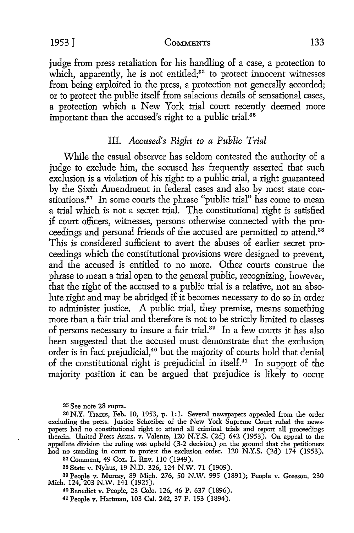judge from press retaliation for his handling of a case, a protection to which, apparently, he is not entitled; $35$  to protect innocent witnesses from being exploited in the press, a protection not generally accorded; or to protect the public itself from salacious details of sensational cases, a protection which a New York trial court recently deemed more important than the accused's right to a public trial.<sup>36</sup>

## III. *Accused's Right to a Public Trial*

While the casual observer has seldom contested the authority of a judge to exclude him, the accused has frequently asserted that such exclusion is a violation of his right to a public trial, a right guaranteed by the Sixth Amendment in federal cases and also by most state constitutions.<sup>37</sup> In some courts the phrase "public trial" has come to mean a trial which is not a secret trial. The constitutional right is satisfied if court officers, witnesses, persons otherwise connected with the proceedings and personal friends of the accused are permitted to attend.38 This is considered sufficient to avert the abuses of earlier secret proceedings which the constitutional provisions were designed to prevent, and the accused is entitled to no more. Other courts construe the phrase to mean a trial open to the general public, recognizing, however, that the right of the accused to a public trial is a relative, not an absolute right and may be abridged if it becomes necessary to do so in order to administer justice. A public trial, they premise, means something more than a fair trial and therefore is not to be strictly limited to classes of persons necessary to insure a fair trial.39 In a few courts it has also been suggested that the accused must demonstrate that the exclusion order is in fact prejudicial,<sup>40</sup> but the majority of courts hold that denial of the constitutional right is prejudicial in itself.41 In support of the majority position it can be argued that prejudice is likely to occur

<sup>37</sup>Comment, 49 CoL. L. REv. 110 (1949).

38 State v. Nyhus, 19 N.D. 326, 124 N.W. 71 (1909).

39 People v. Murray, 89 Mich. 276, 50 N.W. 995 (1891); People v. Greeson, 230 Mich. 124, 203 N.W. 141 (1925).

40 Benedict v. People, 23 Colo. 126, 46 P. 637 (1896).

41 People v. Hartman, 103 Cal. 242, 37 P. 153 (1894).

<sup>35</sup> See note 28 supra.

<sup>36</sup> N.Y. TIMES, Feb. 10, 1953, p. 1: I. Several newspapers appealed from the order excluding the press. Justice Schreiber of the New York Supreme Court ruled the newspapers had no constitutional right to attend all criminal trials and report all proceedings therein. United Press Assns. v. Valente, 120 N.Y.S. (2d) 642 (1953). On appeal to the appellate division the ruling was upheld (3-2 decision) on the ground that the petitioners had no standing in court to protest the exclusion order. 120 N.Y.S. (2d) 174 (1953).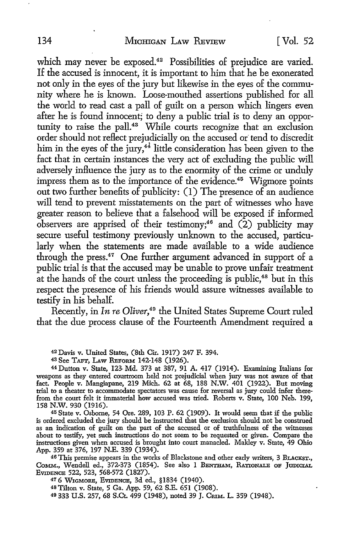which may never be exposed.<sup>42</sup> Possibilities of prejudice are varied. If the accused is innocent, it is important to him that he be exonerated not only in the eyes of the jury but likewise in the eyes of the community where he is known. Loose-mouthed assertions published for all the world to read cast a pall of guilt on a person which lingers even after he is found innocent; to deny a public trial is to deny an opportunity to raise the pall.43 While courts recognize that an exclusion order should not reflect prejudicially on the accused or tend to discredit him in the eyes of the  $i$ ury,<sup>44</sup> little consideration has been given to the fact that in certain instances the very act of excluding the public will adversely influence the jury as to the enormity of the crime or unduly impress them as to the importance of the evidence.<sup>45</sup> Wigmore points out two further benefits of publicity: (1) The presence of an audience will tend to prevent misstatements on the part of witnesses who have greater reason to believe that a falsehood will be exposed if informed observers are apprised of their testimony;<sup>46</sup> and  $(2)$  publicity may secure useful testimony previously unknown to the accused, particularly when the statements are made available to a wide audience through the press.47 One further argument advanced in support of a public trial is that the accused may be unable to prove unfair treatment at the hands of the court unless the proceeding is public,<sup>48</sup> but in this respect the presence of his friends would assure witnesses available to testify in his behalf.

Recently, in *In re Oliver*,<sup>49</sup> the United States Supreme Court ruled that the due process clause of the Fourteenth Amendment required a

42 Davis v. United States, (8th Cir. 1917) 247 F. 394.

44 Dutton v. State, 123 Md. 373 at 387, 91 A. 417 (1914). Examining Italians for weapons as they entered courtroom held not prejudicial when jury was not aware of that fact. People v. Mangiapane, 219 Mich. 62 at 68, 188 N.W. 401 (1922). But moving trial to a theater to accommodate spectators was cause for reversal as jury could infer therefrom the court felt it immaterial how accused was tried. Roberts v. State, 100 Neb. 199, 158 N.W. 930 (1916).

<sup>45</sup>State v. Osborne, 54 Ore. 289, 103 P. 62 (1909). It would seem that if the public is ordered excluded the jury should be instructed that the exclusion should not be construed as an indication of guilt on the part of the accused or of truthfulness of the witnesses about to testify, yet such instructions do not seem to be requested or given. Compare the instructions given when accused is brought into court manacled. Mahley v. State, 49 Ohio App. 359 at 376, 197 N.E. 339 (1934).

46 This premise appears in the works of Blackstone and other early writers, 3 BLACKST., CoMM., Wendell ed., 372-373 (1854). See also 1 BENTHAM, RATIONALE OF JUDICIAL EVIDENCE 522, 523, 568-572 (1827).

47 6 WrGMORE, EVIDENCE, 3d ed., §1834 (1940).

<sup>48</sup>Tilton v. State, 5 Ga. App. 59, 62 S.E. 651 (1908).

49 333 U.S. 257, 68 S.Ct. 499 (1948), noted 39 J. CnIM. L. 359 (1948).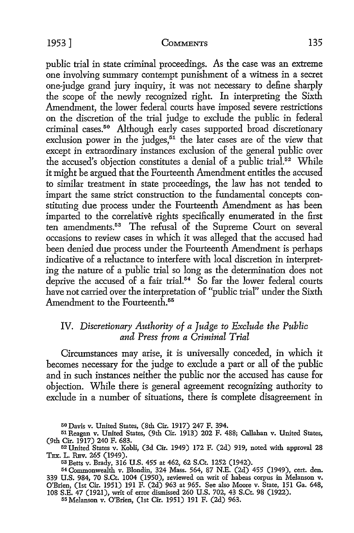public trial in state criminal proceedings. As the case was an extreme one involving summary contempt punishment of a witness in a secret one-judge grand jury inquiry, it was not necessary to define sharply the scope of the newly recognized right. In interpreting the Sixth Amendment, the lower federal courts have imposed severe restrictions on the discretion of the trial judge to exclude the public in federal criminal cases.<sup>50</sup> Although early cases supported broad discretionary exclusion power in the judges, $51$  the later cases are of the view that except in extraordinary instances exclusion of the general public over the accused's objection constitutes a denial of a public trial.<sup>52</sup> While it might be argued that the Fourteenth Amendment entitles the accused to similar treatment in state proceedings, the law has not tended to impart the same strict construction to the fundamental concepts constituting due process under the Fourteenth Amendment as has been imparted to the correlative rights specifically enumerated in the first ten amendments.<sup>53</sup> The refusal of the Supreme Court on several occasions to review cases in which it was alleged that the accused had been denied due process under the Fourteenth Amendment is perhaps indicative of a reluctance to interfere with local discretion in interpreting the nature of a public trial so long as the determination does not deprive the accused of a fair trial.<sup>54</sup> So far the lower federal courts have not carried over the interpretation of "public trial" under the Sixth Amendment to the Fourteenth.<sup>55</sup>

## IV. *Discretionary Authority of a Judge to Exclude the Public and Press from a Criminal Trial*

Circumstances may arise, it is universally conceded, in which it becomes necessary for the judge to exclude a part or all of the public and in such instances neither the public nor the accused has cause for objection. While there is general agreement recognizing authority to exclude in a number of situations, there is complete disagreement in

55 Melanson v. O'Brien, (1st Cir. 1951) 191 F. (2d) 963.

<sup>50</sup> Davis v. United States, (8th Cir. 1917) 247 F. 394.

<sup>51</sup> Reagan v. United States, (9th Cir. 1913) 202 F. 488; Callahan v. United States, (9th Cir. 1917) 240 F. 683.

 $^{52}$  United States v. Kobli, (3d Cir. 1949) 172 F. (2d) 919, noted with approval 28 TEX. L. REV. 265 (1949). TEX. L. Rav. 265 (1949). 53 Betts v. Brady, 316 U.S. 455 at 462, 62 S.Ct. 1252 (1942).

<sup>54</sup>Commonwealth v. Blondin, 324 Mass. 564, 87 N.E. (2d) 455 (1949), cert. den. 339 U.S. 984, 70 S.Ct. 1004 (1950), reviewed on writ of habeas corpus in Melanson v. O'Brien, (1st Cir. 1951) 191 F. (2d) 963 at 965. See also Moore v. State, 151 Ga. 648, 108 S.E. 47 (1921), writ of error dismissed 260 U.S. 702, 43 S.Ct. 98 (1922).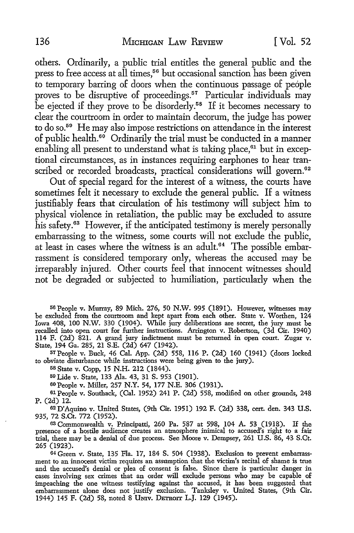others. Ordinarily, a public trial entitles the general public and the press to free access at all times,<sup>56</sup> but occasional sanction has been given to temporary barring of doors when the continuous passage of people proves to be disruptive of proceedings.<sup>57</sup> Particular individuals may be ejected if they prove to be disorderly.<sup>58</sup> If it becomes necessary to clear the courtroom in order to maintain decorum, the judge has power to do so.<sup>59</sup> He may also impose restrictions on attendance in the interest of public health. $66$  Ordinarily the trial must be conducted in a manner enabling all present to understand what is taking place, $61$  but in exceptional circumstances, as in instances requiring earphones to hear transcribed or recorded broadcasts, practical considerations will govern.<sup>62</sup>

Out of special regard for the interest of a witness, the courts have sometimes felt it necessary to exclude the general public. If a witness justifiably fears that circulation of his testimony will subject him to physical violence in retaliation, the public may be excluded to assure his safety.63 However, if the anticipated testimony is merely personally embarrassing to the witness, some courts will not exclude the public, at least in cases where the witness is an adult.<sup>64</sup> The possible embarrassment is considered temporary only, whereas the accused may be irreparably injured. Other courts feel that innocent witnesses should not be degraded or subjected to humiliation, particularly when the

56 People v. Murray, 89 Mich. 276, 50 N.W. 995 (1891). However, witnesses may be excluded from the courtroom and kept apart from each other. State v. Worthen, 124 Iowa 408, 100 N.W. 330 (1904). While jury deliberations are secret, the jury must be recalled into open court for further instructions. Arrington v. Robertson, (3d Cir. 1940) 114 F. (2d) 821. A grand jury indictment must be returned in open court. Zugar v. State, 194 Ga. 285, 21 S.E. (2d) 647 (1942).

57People v. Buck, 46 Cal. App. (2d) 558, 116 P. (2d) 160 (1941) (doors locked to obviate disturbance while instructions were being given to the jury).

58 State v. Copp, 15 N.H. 212 (1844).

59 Lide v. State, 133 Ala. 43, 31 S. 953 (1901).

60People v. Miller, 257 N.Y. 54, 177 N.E. 306 (1931).

61 People v. Southack, (Cal. 1952) 241 P. (2d) 558, modified on other grounds, 248 P. (2d) 12.

62 D'Aquino v. United States, (9th Cir. 1951) 192 F. (2d) 338, cert. den. 343 U.S. 935, 72 S.Ct. 772 (1952).

63 Commonwealth v. Principatti, 260 Pa. 587 at 598, 104 A. 53 (1918). If the presence of a hostile audience creates an atmosphere inimical to accused's right to a fair trial, there may be a denial of due process. See Moore v. Dempsey, 261 U.S. 86, 43 S.Ct. 265 (1923).

64 Green v. State, 135 Fla. 17, 184 S. 504 (1938). Exclusion to prevent embarrassment to an innocent victim requires an assumption that the victim's recital of shame is true and the accused's denial or plea of consent is false. Since there is particular danger in cases involving sex crimes that an order will exclude persons who may be capable of impeaching the one witness testifying against the accused, it has been suggested that embarrassment alone does not justify exclusion. Tanksley v. United States, (9th Cir. 1944) 145 F. (2d) 58, noted 8 UNIV. DETROIT L.J. 129 (1945).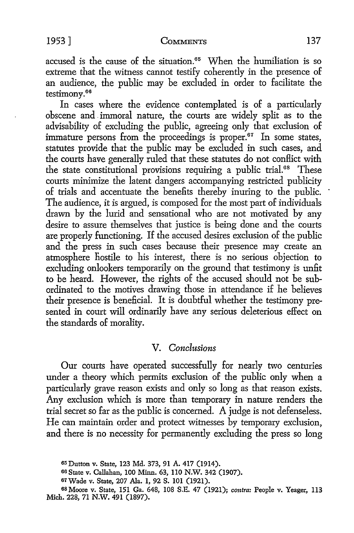accused is the cause of the situation.<sup>65</sup> When the humiliation is so extreme that the witness cannot testify coherently in the presence of an audience, the public may be excluded in order to facilitate the testimony. 66

In cases where the evidence contemplated is of a particularly obscene and . immoral nature, the courts are widely split as to the advisability of excluding the public, agreeing only that exclusion of immature persons from the proceedings is proper. $67$  In some states, statutes provide that the public may be excluded in such cases, and the courts have generally ruled that these statutes do not conflict with the state constitutional provisions requiring a public trial.<sup>68</sup> These courts minimize the latent dangers accompanying restricted publicity of trials and accentuate the benefits thereby inuring to the public. The audience, it is argued, is composed for the most part of individuals drawn by the lurid and sensational who are not motivated by any desire to assure themselves that justice is being done and the courts are properly functioning. If the accused desires exclusion of the public and the press in such cases because their presence may create an atmosphere hostile to his interest, there is no serious objection to excluding onlookers temporarily on the ground that testimony is unfit to be heard. However, the rights of the accused should not be subordinated to the motives drawing those in attendance if he believes their presence is beneficial. It is doubtful whether the testimony presented in court will ordinarily have any serious deleterious effect on the standards of morality.

## V. *Conclusions*

Our courts have operated successfully for nearly two centuries under a theory which permits exclusion of the public only when a particularly grave reason exists and only so long as that reason exists. Any exclusion which is more than temporary in nature renders the trial secret so far as the public is concerned. A judge is not defenseless. He can maintain order and protect witnesses by temporary exclusion, and there is no necessity for permanently excluding the press so long

<sup>65</sup>Dutton v. State, 123 Md. 373, 91 A. 417 (1914).

<sup>66</sup> State v. Callahan, 100 Minn. 63, 110 N.W. 342 (1907).

<sup>67</sup>Wade v. State, 207 Ala. 1, 92 S. 101 (1921).

<sup>68</sup> Moore v. State, 151 Ga. 648, 108 S.E. 47 (1921); *contra:* People v. Yeager, 113 Mich. 228, 71 N.W. 491 (1897).